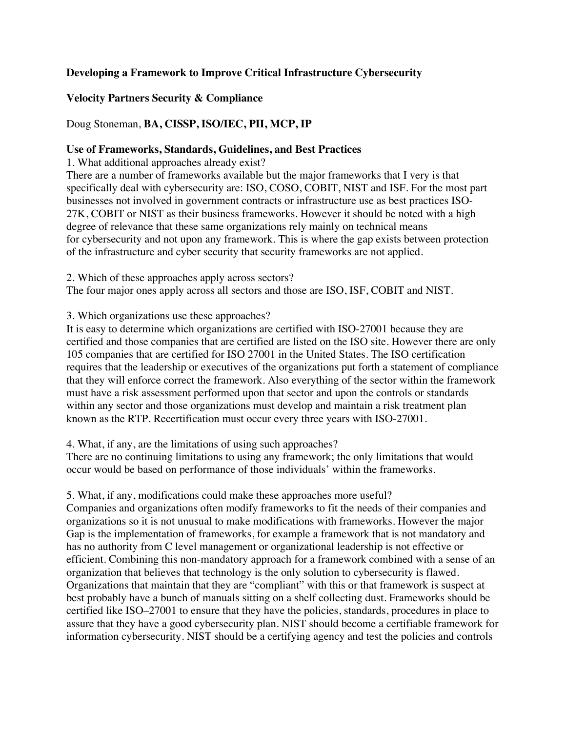# **Developing a Framework to Improve Critical Infrastructure Cybersecurity**

# **Velocity Partners Security & Compliance**

# Doug Stoneman, **BA, CISSP, ISO/IEC, PII, MCP, IP**

#### **Use of Frameworks, Standards, Guidelines, and Best Practices**

1. What additional approaches already exist?

 27K, COBIT or NIST as their business frameworks. However it should be noted with a high There are a number of frameworks available but the major frameworks that I very is that specifically deal with cybersecurity are: ISO, COSO, COBIT, NIST and ISF. For the most part businesses not involved in government contracts or infrastructure use as best practices ISOdegree of relevance that these same organizations rely mainly on technical means for cybersecurity and not upon any framework. This is where the gap exists between protection of the infrastructure and cyber security that security frameworks are not applied.

2. Which of these approaches apply across sectors?

The four major ones apply across all sectors and those are ISO, ISF, COBIT and NIST.

#### 3. Which organizations use these approaches?

It is easy to determine which organizations are certified with ISO-27001 because they are certified and those companies that are certified are listed on the ISO site. However there are only 105 companies that are certified for ISO 27001 in the United States. The ISO certification requires that the leadership or executives of the organizations put forth a statement of compliance that they will enforce correct the framework. Also everything of the sector within the framework must have a risk assessment performed upon that sector and upon the controls or standards within any sector and those organizations must develop and maintain a risk treatment plan known as the RTP. Recertification must occur every three years with ISO-27001.

4. What, if any, are the limitations of using such approaches?

There are no continuing limitations to using any framework; the only limitations that would occur would be based on performance of those individuals' within the frameworks.

### 5. What, if any, modifications could make these approaches more useful?

Companies and organizations often modify frameworks to fit the needs of their companies and organizations so it is not unusual to make modifications with frameworks. However the major Gap is the implementation of frameworks, for example a framework that is not mandatory and has no authority from C level management or organizational leadership is not effective or efficient. Combining this non-mandatory approach for a framework combined with a sense of an organization that believes that technology is the only solution to cybersecurity is flawed. Organizations that maintain that they are "compliant" with this or that framework is suspect at best probably have a bunch of manuals sitting on a shelf collecting dust. Frameworks should be certified like ISO–27001 to ensure that they have the policies, standards, procedures in place to assure that they have a good cybersecurity plan. NIST should become a certifiable framework for information cybersecurity. NIST should be a certifying agency and test the policies and controls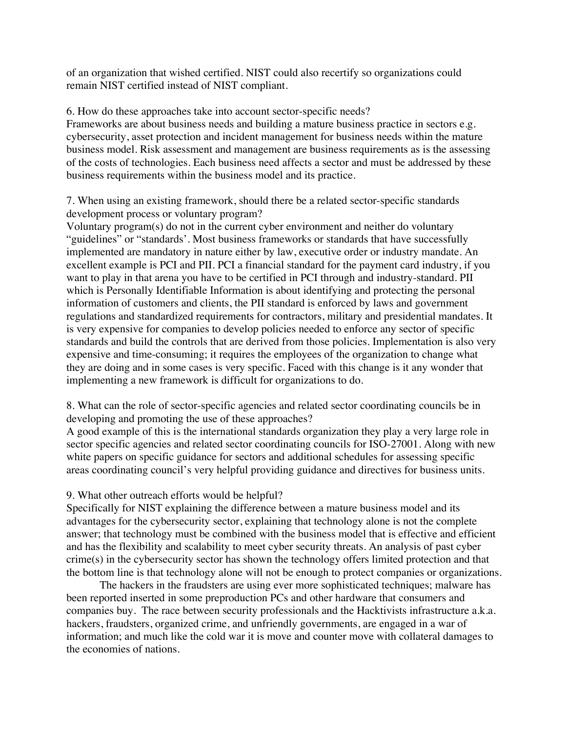of an organization that wished certified. NIST could also recertify so organizations could remain NIST certified instead of NIST compliant.

6. How do these approaches take into account sector-specific needs?

Frameworks are about business needs and building a mature business practice in sectors e.g. cybersecurity, asset protection and incident management for business needs within the mature business model. Risk assessment and management are business requirements as is the assessing of the costs of technologies. Each business need affects a sector and must be addressed by these business requirements within the business model and its practice.

 development process or voluntary program? 7. When using an existing framework, should there be a related sector-specific standards

Voluntary program(s) do not in the current cyber environment and neither do voluntary "guidelines" or "standards'. Most business frameworks or standards that have successfully implemented are mandatory in nature either by law, executive order or industry mandate. An excellent example is PCI and PII. PCI a financial standard for the payment card industry, if you want to play in that arena you have to be certified in PCI through and industry-standard. PII which is Personally Identifiable Information is about identifying and protecting the personal information of customers and clients, the PII standard is enforced by laws and government regulations and standardized requirements for contractors, military and presidential mandates. It is very expensive for companies to develop policies needed to enforce any sector of specific standards and build the controls that are derived from those policies. Implementation is also very expensive and time-consuming; it requires the employees of the organization to change what they are doing and in some cases is very specific. Faced with this change is it any wonder that implementing a new framework is difficult for organizations to do.

8. What can the role of sector-specific agencies and related sector coordinating councils be in developing and promoting the use of these approaches?

A good example of this is the international standards organization they play a very large role in sector specific agencies and related sector coordinating councils for ISO-27001. Along with new white papers on specific guidance for sectors and additional schedules for assessing specific areas coordinating council's very helpful providing guidance and directives for business units.

### 9. What other outreach efforts would be helpful?

 the bottom line is that technology alone will not be enough to protect companies or organizations. Specifically for NIST explaining the difference between a mature business model and its advantages for the cybersecurity sector, explaining that technology alone is not the complete answer; that technology must be combined with the business model that is effective and efficient and has the flexibility and scalability to meet cyber security threats. An analysis of past cyber crime(s) in the cybersecurity sector has shown the technology offers limited protection and that

 companies buy. The race between security professionals and the Hacktivists infrastructure a.k.a. The hackers in the fraudsters are using ever more sophisticated techniques; malware has been reported inserted in some preproduction PCs and other hardware that consumers and hackers, fraudsters, organized crime, and unfriendly governments, are engaged in a war of information; and much like the cold war it is move and counter move with collateral damages to the economies of nations.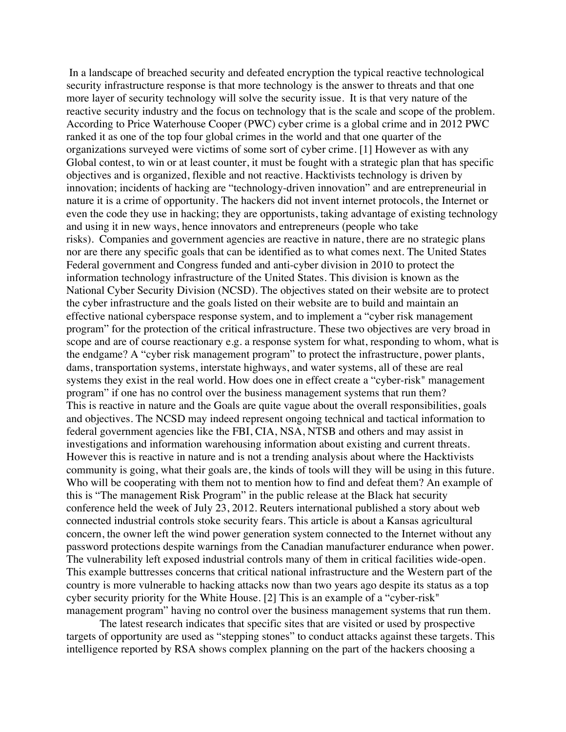risks). Companies and government agencies are reactive in nature, there are no strategic plans However this is reactive in nature and is not a trending analysis about where the Hacktivists This example buttresses concerns that critical national infrastructure and the Western part of the In a landscape of breached security and defeated encryption the typical reactive technological security infrastructure response is that more technology is the answer to threats and that one more layer of security technology will solve the security issue. It is that very nature of the reactive security industry and the focus on technology that is the scale and scope of the problem. According to Price Waterhouse Cooper (PWC) cyber crime is a global crime and in 2012 PWC ranked it as one of the top four global crimes in the world and that one quarter of the organizations surveyed were victims of some sort of cyber crime. [1] However as with any Global contest, to win or at least counter, it must be fought with a strategic plan that has specific objectives and is organized, flexible and not reactive. Hacktivists technology is driven by innovation; incidents of hacking are "technology-driven innovation" and are entrepreneurial in nature it is a crime of opportunity. The hackers did not invent internet protocols, the Internet or even the code they use in hacking; they are opportunists, taking advantage of existing technology and using it in new ways, hence innovators and entrepreneurs (people who take nor are there any specific goals that can be identified as to what comes next. The United States Federal government and Congress funded and anti-cyber division in 2010 to protect the information technology infrastructure of the United States. This division is known as the National Cyber Security Division (NCSD). The objectives stated on their website are to protect the cyber infrastructure and the goals listed on their website are to build and maintain an effective national cyberspace response system, and to implement a "cyber risk management program" for the protection of the critical infrastructure. These two objectives are very broad in scope and are of course reactionary e.g. a response system for what, responding to whom, what is the endgame? A "cyber risk management program" to protect the infrastructure, power plants, dams, transportation systems, interstate highways, and water systems, all of these are real systems they exist in the real world. How does one in effect create a "cyber-risk" management program" if one has no control over the business management systems that run them? This is reactive in nature and the Goals are quite vague about the overall responsibilities, goals and objectives. The NCSD may indeed represent ongoing technical and tactical information to federal government agencies like the FBI, CIA, NSA, NTSB and others and may assist in investigations and information warehousing information about existing and current threats. community is going, what their goals are, the kinds of tools will they will be using in this future. Who will be cooperating with them not to mention how to find and defeat them? An example of this is "The management Risk Program" in the public release at the Black hat security conference held the week of July 23, 2012. Reuters international published a story about web connected industrial controls stoke security fears. This article is about a Kansas agricultural concern, the owner left the wind power generation system connected to the Internet without any password protections despite warnings from the Canadian manufacturer endurance when power. The vulnerability left exposed industrial controls many of them in critical facilities wide-open. country is more vulnerable to hacking attacks now than two years ago despite its status as a top cyber security priority for the White House. [2] This is an example of a "cyber-risk" management program" having no control over the business management systems that run them.

The latest research indicates that specific sites that are visited or used by prospective targets of opportunity are used as "stepping stones" to conduct attacks against these targets. This intelligence reported by RSA shows complex planning on the part of the hackers choosing a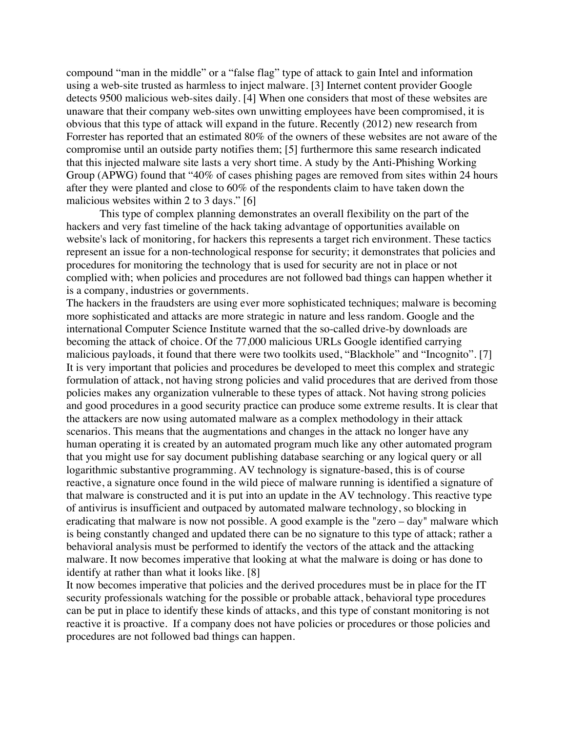compromise until an outside party notifies them; [5] furthermore this same research indicated compound "man in the middle" or a "false flag" type of attack to gain Intel and information using a web-site trusted as harmless to inject malware. [3] Internet content provider Google detects 9500 malicious web-sites daily. [4] When one considers that most of these websites are unaware that their company web-sites own unwitting employees have been compromised, it is obvious that this type of attack will expand in the future. Recently (2012) new research from Forrester has reported that an estimated 80% of the owners of these websites are not aware of the that this injected malware site lasts a very short time. A study by the Anti-Phishing Working Group (APWG) found that "40% of cases phishing pages are removed from sites within 24 hours after they were planted and close to 60% of the respondents claim to have taken down the malicious websites within 2 to 3 days." [6]

This type of complex planning demonstrates an overall flexibility on the part of the hackers and very fast timeline of the hack taking advantage of opportunities available on website's lack of monitoring, for hackers this represents a target rich environment. These tactics represent an issue for a non-technological response for security; it demonstrates that policies and procedures for monitoring the technology that is used for security are not in place or not complied with; when policies and procedures are not followed bad things can happen whether it is a company, industries or governments.

 identify at rather than what it looks like. [8] The hackers in the fraudsters are using ever more sophisticated techniques; malware is becoming more sophisticated and attacks are more strategic in nature and less random. Google and the international Computer Science Institute warned that the so-called drive-by downloads are becoming the attack of choice. Of the 77,000 malicious URLs Google identified carrying malicious payloads, it found that there were two toolkits used, "Blackhole" and "Incognito". [7] It is very important that policies and procedures be developed to meet this complex and strategic formulation of attack, not having strong policies and valid procedures that are derived from those policies makes any organization vulnerable to these types of attack. Not having strong policies and good procedures in a good security practice can produce some extreme results. It is clear that the attackers are now using automated malware as a complex methodology in their attack scenarios. This means that the augmentations and changes in the attack no longer have any human operating it is created by an automated program much like any other automated program that you might use for say document publishing database searching or any logical query or all logarithmic substantive programming. AV technology is signature-based, this is of course reactive, a signature once found in the wild piece of malware running is identified a signature of that malware is constructed and it is put into an update in the AV technology. This reactive type of antivirus is insufficient and outpaced by automated malware technology, so blocking in eradicating that malware is now not possible. A good example is the "zero – day" malware which is being constantly changed and updated there can be no signature to this type of attack; rather a behavioral analysis must be performed to identify the vectors of the attack and the attacking malware. It now becomes imperative that looking at what the malware is doing or has done to

 reactive it is proactive. If a company does not have policies or procedures or those policies and It now becomes imperative that policies and the derived procedures must be in place for the IT security professionals watching for the possible or probable attack, behavioral type procedures can be put in place to identify these kinds of attacks, and this type of constant monitoring is not procedures are not followed bad things can happen.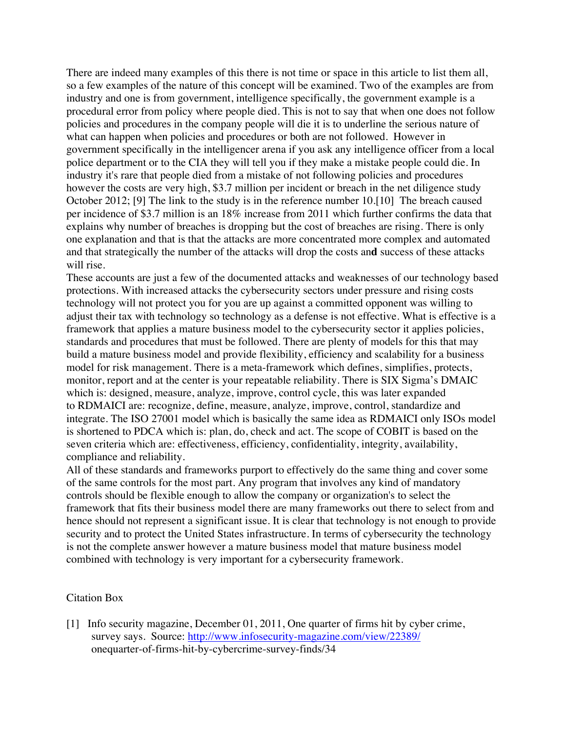what can happen when policies and procedures or both are not followed. However in October 2012; [9] The link to the study is in the reference number 10.[10] The breach caused There are indeed many examples of this there is not time or space in this article to list them all, so a few examples of the nature of this concept will be examined. Two of the examples are from industry and one is from government, intelligence specifically, the government example is a procedural error from policy where people died. This is not to say that when one does not follow policies and procedures in the company people will die it is to underline the serious nature of government specifically in the intelligencer arena if you ask any intelligence officer from a local police department or to the CIA they will tell you if they make a mistake people could die. In industry it's rare that people died from a mistake of not following policies and procedures however the costs are very high, \$3.7 million per incident or breach in the net diligence study per incidence of \$3.7 million is an 18% increase from 2011 which further confirms the data that explains why number of breaches is dropping but the cost of breaches are rising. There is only one explanation and that is that the attacks are more concentrated more complex and automated and that strategically the number of the attacks will drop the costs an**d** success of these attacks will rise.

 build a mature business model and provide flexibility, efficiency and scalability for a business integrate. The ISO 27001 model which is basically the same idea as RDMAICI only ISOs model These accounts are just a few of the documented attacks and weaknesses of our technology based protections. With increased attacks the cybersecurity sectors under pressure and rising costs technology will not protect you for you are up against a committed opponent was willing to adjust their tax with technology so technology as a defense is not effective. What is effective is a framework that applies a mature business model to the cybersecurity sector it applies policies, standards and procedures that must be followed. There are plenty of models for this that may model for risk management. There is a meta-framework which defines, simplifies, protects, monitor, report and at the center is your repeatable reliability. There is SIX Sigma's DMAIC which is: designed, measure, analyze, improve, control cycle, this was later expanded to RDMAICI are: recognize, define, measure, analyze, improve, control, standardize and is shortened to PDCA which is: plan, do, check and act. The scope of COBIT is based on the seven criteria which are: effectiveness, efficiency, confidentiality, integrity, availability, compliance and reliability.

All of these standards and frameworks purport to effectively do the same thing and cover some of the same controls for the most part. Any program that involves any kind of mandatory controls should be flexible enough to allow the company or organization's to select the framework that fits their business model there are many frameworks out there to select from and hence should not represent a significant issue. It is clear that technology is not enough to provide security and to protect the United States infrastructure. In terms of cybersecurity the technology is not the complete answer however a mature business model that mature business model combined with technology is very important for a cybersecurity framework.

#### Citation Box

[1] Info security magazine, December 01, 2011, One quarter of firms hit by cyber crime, survey says. Source: http://www.infosecurity-magazine.com/view/22389/ onequarter-of-firms-hit-by-cybercrime-survey-finds/34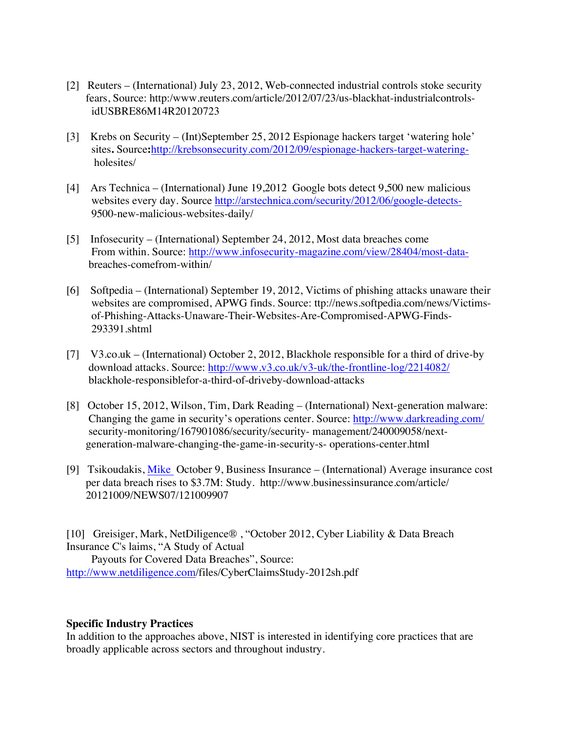- [2] Reuters (International) July 23, 2012, Web-connected industrial controls stoke security fears, Source: http:/www.reuters.com/article/2012/07/23/us-blackhat-industrialcontrolsidUSBRE86M14R20120723
- [3] Krebs on Security (Int)September 25, 2012 Espionage hackers target 'watering hole' sites**.** Source**:**http://krebsonsecurity.com/2012/09/espionage-hackers-target-wateringholesites/
- [4] Ars Technica (International) June 19,2012 Google bots detect 9,500 new malicious websites every day. Source http://arstechnica.com/security/2012/06/google-detects-9500-new-malicious-websites-daily/
- [5] Infosecurity (International) September 24, 2012, Most data breaches come From within. Source: http://www.infosecurity-magazine.com/view/28404/most-databreaches-comefrom-within/
- [6] Softpedia (International) September 19, 2012, Victims of phishing attacks unaware their websites are compromised, APWG finds. Source: ttp://news.softpedia.com/news/Victimsof-Phishing-Attacks-Unaware-Their-Websites-Are-Compromised-APWG-Finds-293391.shtml
- [7] V3.co.uk (International) October 2, 2012, Blackhole responsible for a third of drive-by download attacks. Source: http://www.v3.co.uk/v3-uk/the-frontline-log/2214082/ blackhole-responsiblefor-a-third-of-driveby-download-attacks
- [8] October 15, 2012, Wilson, Tim, Dark Reading (International) Next-generation malware: Changing the game in security's operations center. Source: http://www.darkreading.com/ security-monitoring/167901086/security/security- management/240009058/nextgeneration-malware-changing-the-game-in-security-s- operations-center.html
- [9] Tsikoudakis, *Mike* October 9, Business Insurance (International) Average insurance cost per data breach rises to \$3.7M: Study. http://www.businessinsurance.com/article/ 20121009/NEWS07/121009907
- [10] Greisiger, Mark, NetDiligence® , "October 2012, Cyber Liability & Data Breach Insurance C's laims, "A Study of Actual Payouts for Covered Data Breaches", Source: http://www.netdiligence.com/files/CyberClaimsStudy-2012sh.pdf

#### **Specific Industry Practices**

In addition to the approaches above, NIST is interested in identifying core practices that are broadly applicable across sectors and throughout industry.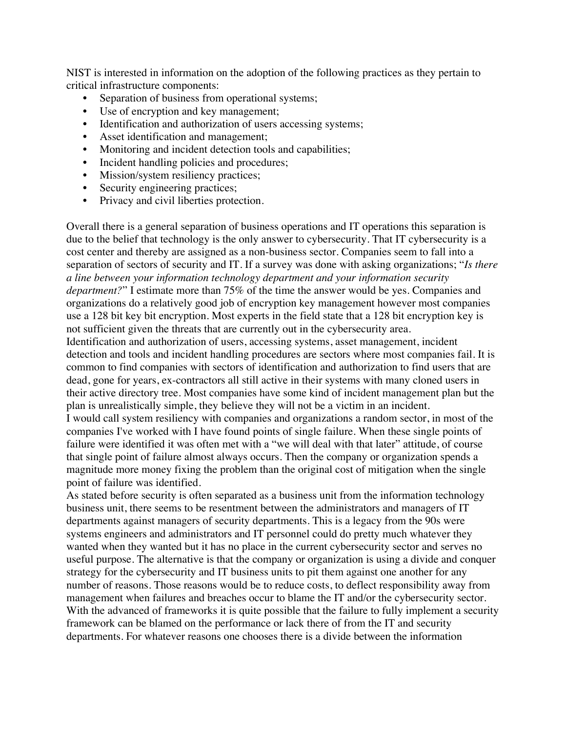NIST is interested in information on the adoption of the following practices as they pertain to critical infrastructure components:

- Separation of business from operational systems;
- Use of encryption and key management;
- Identification and authorization of users accessing systems;
- Asset identification and management;
- Monitoring and incident detection tools and capabilities;
- Incident handling policies and procedures;
- Mission/system resiliency practices;
- Security engineering practices;
- Privacy and civil liberties protection.

Overall there is a general separation of business operations and IT operations this separation is due to the belief that technology is the only answer to cybersecurity. That IT cybersecurity is a cost center and thereby are assigned as a non-business sector. Companies seem to fall into a separation of sectors of security and IT. If a survey was done with asking organizations; "*Is there a line between your information technology department and your information security department?*" I estimate more than 75% of the time the answer would be yes. Companies and organizations do a relatively good job of encryption key management however most companies use a 128 bit key bit encryption. Most experts in the field state that a 128 bit encryption key is not sufficient given the threats that are currently out in the cybersecurity area.

 common to find companies with sectors of identification and authorization to find users that are Identification and authorization of users, accessing systems, asset management, incident detection and tools and incident handling procedures are sectors where most companies fail. It is dead, gone for years, ex-contractors all still active in their systems with many cloned users in their active directory tree. Most companies have some kind of incident management plan but the plan is unrealistically simple, they believe they will not be a victim in an incident.

I would call system resiliency with companies and organizations a random sector, in most of the companies I've worked with I have found points of single failure. When these single points of failure were identified it was often met with a "we will deal with that later" attitude, of course that single point of failure almost always occurs. Then the company or organization spends a magnitude more money fixing the problem than the original cost of mitigation when the single point of failure was identified.

 departments against managers of security departments. This is a legacy from the 90s were As stated before security is often separated as a business unit from the information technology business unit, there seems to be resentment between the administrators and managers of IT systems engineers and administrators and IT personnel could do pretty much whatever they wanted when they wanted but it has no place in the current cybersecurity sector and serves no useful purpose. The alternative is that the company or organization is using a divide and conquer strategy for the cybersecurity and IT business units to pit them against one another for any number of reasons. Those reasons would be to reduce costs, to deflect responsibility away from management when failures and breaches occur to blame the IT and/or the cybersecurity sector. With the advanced of frameworks it is quite possible that the failure to fully implement a security framework can be blamed on the performance or lack there of from the IT and security departments. For whatever reasons one chooses there is a divide between the information